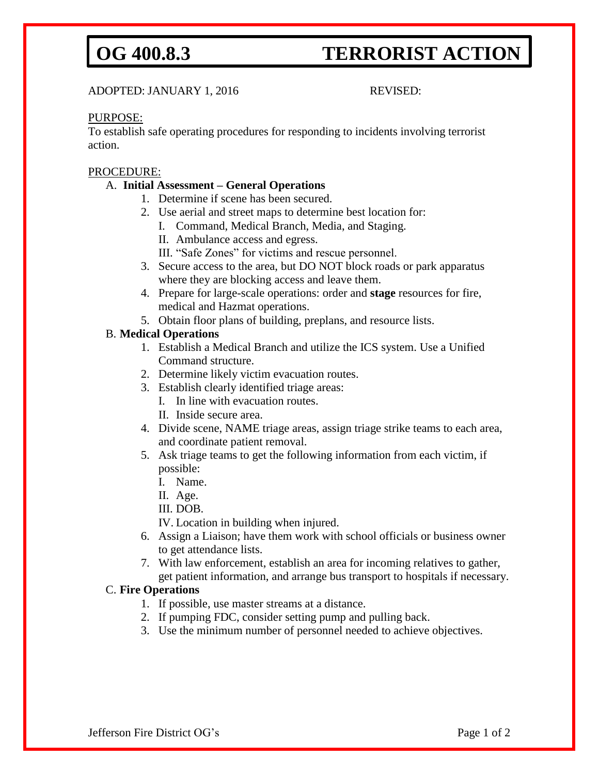# **OG 400.8.3 TERRORIST ACTION**

ADOPTED: JANUARY 1, 2016 REVISED:

### PURPOSE:

To establish safe operating procedures for responding to incidents involving terrorist action.

### PROCEDURE:

## A. **Initial Assessment – General Operations**

- 1. Determine if scene has been secured.
- 2. Use aerial and street maps to determine best location for:
	- I. Command, Medical Branch, Media, and Staging.
	- II. Ambulance access and egress.
	- III. "Safe Zones" for victims and rescue personnel.
- 3. Secure access to the area, but DO NOT block roads or park apparatus where they are blocking access and leave them.
- 4. Prepare for large-scale operations: order and **stage** resources for fire, medical and Hazmat operations.
- 5. Obtain floor plans of building, preplans, and resource lists.

## B. **Medical Operations**

- 1. Establish a Medical Branch and utilize the ICS system. Use a Unified Command structure.
- 2. Determine likely victim evacuation routes.
- 3. Establish clearly identified triage areas:
	- I. In line with evacuation routes.
	- II. Inside secure area.
- 4. Divide scene, NAME triage areas, assign triage strike teams to each area, and coordinate patient removal.
- 5. Ask triage teams to get the following information from each victim, if possible:
	- I. Name.
	- II. Age.
	- III. DOB.

IV. Location in building when injured.

- 6. Assign a Liaison; have them work with school officials or business owner to get attendance lists.
- 7. With law enforcement, establish an area for incoming relatives to gather, get patient information, and arrange bus transport to hospitals if necessary.

#### C. **Fire Operations**

- 1. If possible, use master streams at a distance.
- 2. If pumping FDC, consider setting pump and pulling back.
- 3. Use the minimum number of personnel needed to achieve objectives.